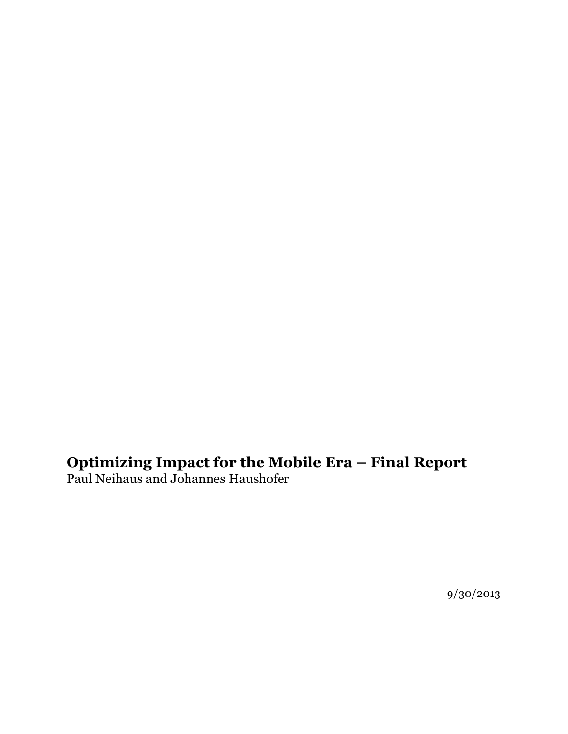## **Optimizing Impact for the Mobile Era – Final Report**

Paul Neihaus and Johannes Haushofer

9/30/2013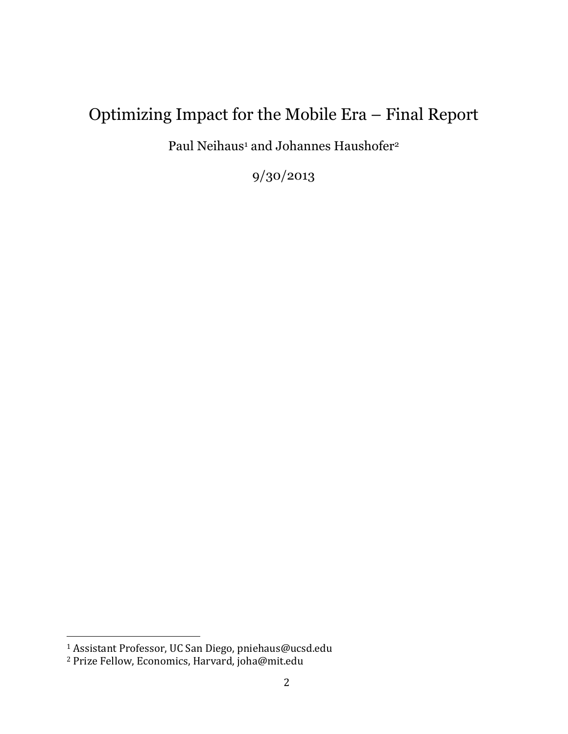# Optimizing Impact for the Mobile Era – Final Report

Paul Neihaus<sup>1</sup> and Johannes Haushofer<sup>2</sup>

9/30/2013

<sup>&</sup>lt;sup>1</sup> Assistant Professor, UC San Diego, pniehaus@ucsd.edu

<sup>&</sup>lt;sup>2</sup> Prize Fellow, Economics, Harvard, joha@mit.edu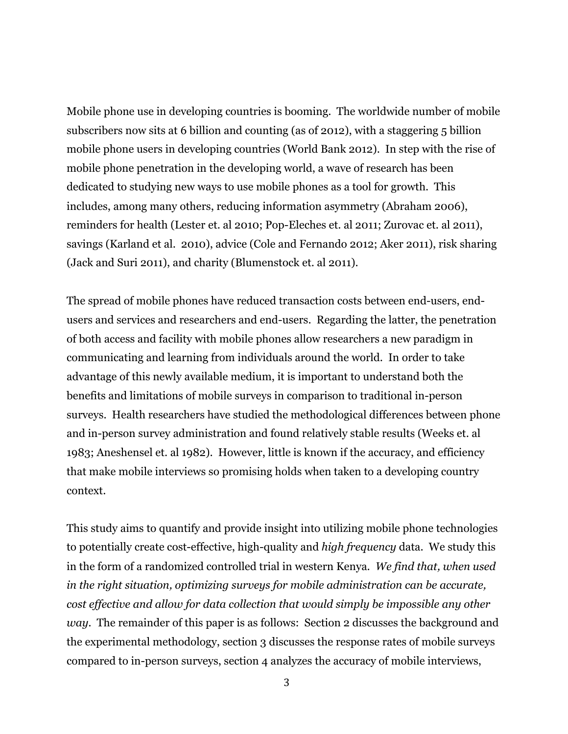Mobile phone use in developing countries is booming. The worldwide number of mobile subscribers now sits at 6 billion and counting (as of 2012), with a staggering 5 billion mobile phone users in developing countries (World Bank 2012). In step with the rise of mobile phone penetration in the developing world, a wave of research has been dedicated to studying new ways to use mobile phones as a tool for growth. This includes, among many others, reducing information asymmetry (Abraham 2006), reminders for health (Lester et. al 2010; Pop-Eleches et. al 2011; Zurovac et. al 2011), savings (Karland et al. 2010), advice (Cole and Fernando 2012; Aker 2011), risk sharing (Jack and Suri 2011), and charity (Blumenstock et. al 2011).

The spread of mobile phones have reduced transaction costs between end-users, endusers and services and researchers and end-users. Regarding the latter, the penetration of both access and facility with mobile phones allow researchers a new paradigm in communicating and learning from individuals around the world. In order to take advantage of this newly available medium, it is important to understand both the benefits and limitations of mobile surveys in comparison to traditional in-person surveys. Health researchers have studied the methodological differences between phone and in-person survey administration and found relatively stable results (Weeks et. al 1983; Aneshensel et. al 1982). However, little is known if the accuracy, and efficiency that make mobile interviews so promising holds when taken to a developing country context.

This study aims to quantify and provide insight into utilizing mobile phone technologies to potentially create cost-effective, high-quality and *high frequency* data. We study this in the form of a randomized controlled trial in western Kenya. *We find that, when used in the right situation, optimizing surveys for mobile administration can be accurate, cost effective and allow for data collection that would simply be impossible any other way.* The remainder of this paper is as follows: Section 2 discusses the background and the experimental methodology, section 3 discusses the response rates of mobile surveys compared to in-person surveys, section 4 analyzes the accuracy of mobile interviews,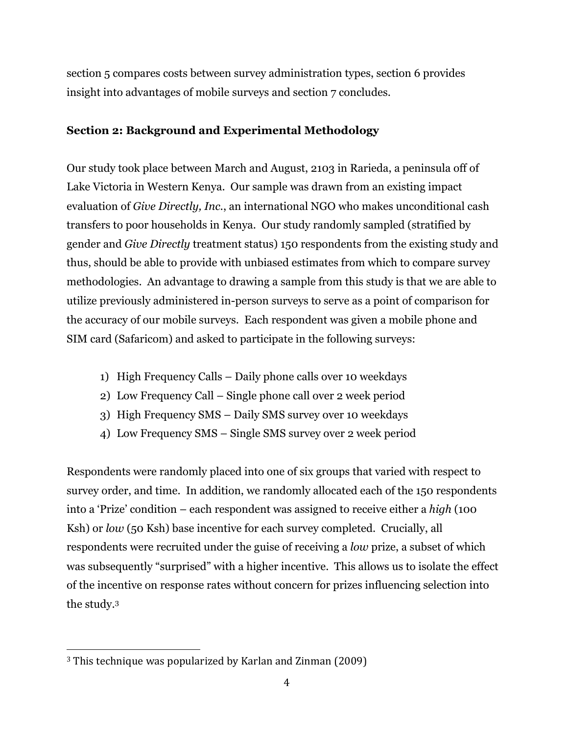section 5 compares costs between survey administration types, section 6 provides insight into advantages of mobile surveys and section 7 concludes.

### **Section 2: Background and Experimental Methodology**

Our study took place between March and August, 2103 in Rarieda, a peninsula off of Lake Victoria in Western Kenya. Our sample was drawn from an existing impact evaluation of *Give Directly, Inc.*, an international NGO who makes unconditional cash transfers to poor households in Kenya. Our study randomly sampled (stratified by gender and *Give Directly* treatment status) 150 respondents from the existing study and thus, should be able to provide with unbiased estimates from which to compare survey methodologies. An advantage to drawing a sample from this study is that we are able to utilize previously administered in-person surveys to serve as a point of comparison for the accuracy of our mobile surveys. Each respondent was given a mobile phone and SIM card (Safaricom) and asked to participate in the following surveys:

- 1) High Frequency Calls Daily phone calls over 10 weekdays
- 2) Low Frequency Call Single phone call over 2 week period
- 3) High Frequency SMS Daily SMS survey over 10 weekdays
- 4) Low Frequency SMS Single SMS survey over 2 week period

Respondents were randomly placed into one of six groups that varied with respect to survey order, and time. In addition, we randomly allocated each of the 150 respondents into a 'Prize' condition – each respondent was assigned to receive either a *high* (100 Ksh) or *low* (50 Ksh) base incentive for each survey completed. Crucially, all respondents were recruited under the guise of receiving a *low* prize, a subset of which was subsequently "surprised" with a higher incentive. This allows us to isolate the effect of the incentive on response rates without concern for prizes influencing selection into the study.3

 $3$  This technique was popularized by Karlan and Zinman (2009)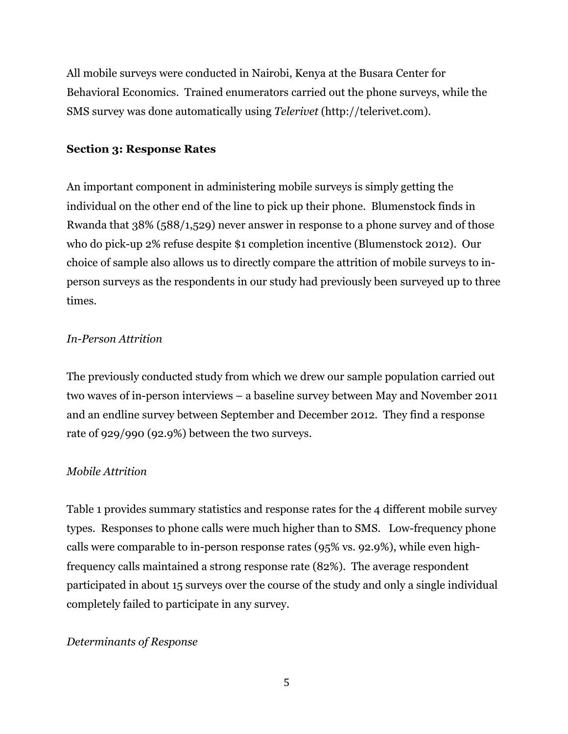All mobile surveys were conducted in Nairobi, Kenya at the Busara Center for Behavioral Economics. Trained enumerators carried out the phone surveys, while the SMS survey was done automatically using *Telerivet* (http://telerivet.com).

### **Section 3: Response Rates**

An important component in administering mobile surveys is simply getting the individual on the other end of the line to pick up their phone. Blumenstock finds in Rwanda that 38% (588/1,529) never answer in response to a phone survey and of those who do pick-up 2% refuse despite \$1 completion incentive (Blumenstock 2012). Our choice of sample also allows us to directly compare the attrition of mobile surveys to inperson surveys as the respondents in our study had previously been surveyed up to three times.

### *In-Person Attrition*

The previously conducted study from which we drew our sample population carried out two waves of in-person interviews – a baseline survey between May and November 2011 and an endline survey between September and December 2012. They find a response rate of 929/990 (92.9%) between the two surveys.

### *Mobile Attrition*

Table 1 provides summary statistics and response rates for the 4 different mobile survey types. Responses to phone calls were much higher than to SMS. Low-frequency phone calls were comparable to in-person response rates (95% vs. 92.9%), while even highfrequency calls maintained a strong response rate (82%). The average respondent participated in about 15 surveys over the course of the study and only a single individual completely failed to participate in any survey.

### *Determinants of Response*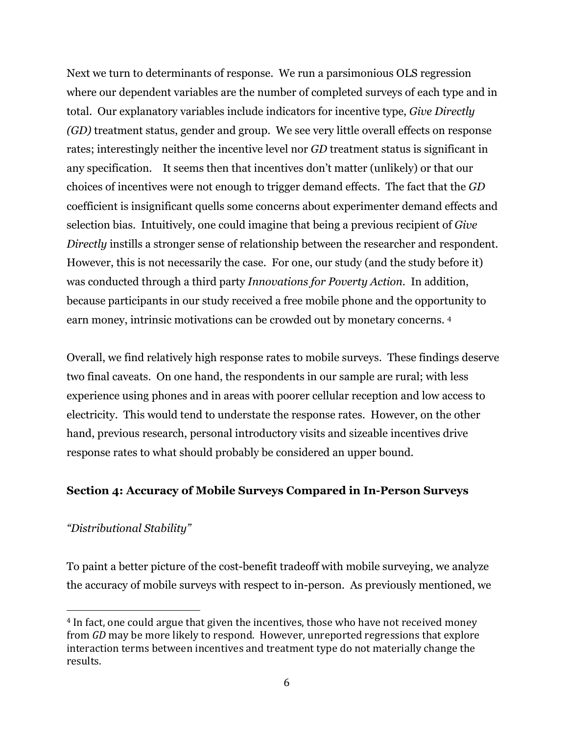Next we turn to determinants of response. We run a parsimonious OLS regression where our dependent variables are the number of completed surveys of each type and in total. Our explanatory variables include indicators for incentive type, *Give Directly (GD)* treatment status, gender and group. We see very little overall effects on response rates; interestingly neither the incentive level nor *GD* treatment status is significant in any specification. It seems then that incentives don't matter (unlikely) or that our choices of incentives were not enough to trigger demand effects. The fact that the *GD* coefficient is insignificant quells some concerns about experimenter demand effects and selection bias. Intuitively, one could imagine that being a previous recipient of *Give Directly* instills a stronger sense of relationship between the researcher and respondent. However, this is not necessarily the case. For one, our study (and the study before it) was conducted through a third party *Innovations for Poverty Action*. In addition, because participants in our study received a free mobile phone and the opportunity to earn money, intrinsic motivations can be crowded out by monetary concerns. 4

Overall, we find relatively high response rates to mobile surveys. These findings deserve two final caveats. On one hand, the respondents in our sample are rural; with less experience using phones and in areas with poorer cellular reception and low access to electricity. This would tend to understate the response rates. However, on the other hand, previous research, personal introductory visits and sizeable incentives drive response rates to what should probably be considered an upper bound.

### **Section 4: Accuracy of Mobile Surveys Compared in In-Person Surveys**

### *"Distributional Stability"*

 

To paint a better picture of the cost-benefit tradeoff with mobile surveying, we analyze the accuracy of mobile surveys with respect to in-person. As previously mentioned, we

<sup>&</sup>lt;sup>4</sup> In fact, one could argue that given the incentives, those who have not received money from *GD* may be more likely to respond. However, unreported regressions that explore interaction terms between incentives and treatment type do not materially change the results.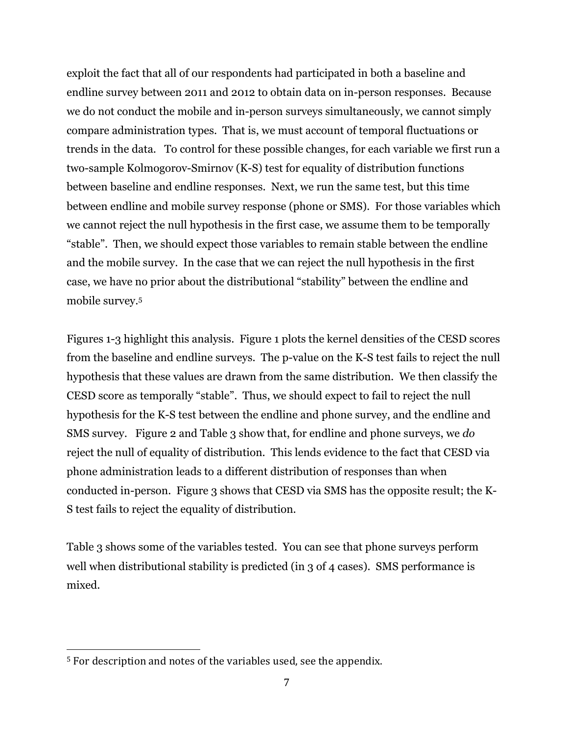exploit the fact that all of our respondents had participated in both a baseline and endline survey between 2011 and 2012 to obtain data on in-person responses. Because we do not conduct the mobile and in-person surveys simultaneously, we cannot simply compare administration types. That is, we must account of temporal fluctuations or trends in the data. To control for these possible changes, for each variable we first run a two-sample Kolmogorov-Smirnov (K-S) test for equality of distribution functions between baseline and endline responses. Next, we run the same test, but this time between endline and mobile survey response (phone or SMS). For those variables which we cannot reject the null hypothesis in the first case, we assume them to be temporally "stable". Then, we should expect those variables to remain stable between the endline and the mobile survey. In the case that we can reject the null hypothesis in the first case, we have no prior about the distributional "stability" between the endline and mobile survey.5

Figures 1-3 highlight this analysis. Figure 1 plots the kernel densities of the CESD scores from the baseline and endline surveys. The p-value on the K-S test fails to reject the null hypothesis that these values are drawn from the same distribution. We then classify the CESD score as temporally "stable". Thus, we should expect to fail to reject the null hypothesis for the K-S test between the endline and phone survey, and the endline and SMS survey. Figure 2 and Table 3 show that, for endline and phone surveys, we *do*  reject the null of equality of distribution. This lends evidence to the fact that CESD via phone administration leads to a different distribution of responses than when conducted in-person. Figure 3 shows that CESD via SMS has the opposite result; the K-S test fails to reject the equality of distribution.

Table 3 shows some of the variables tested. You can see that phone surveys perform well when distributional stability is predicted (in 3 of 4 cases). SMS performance is mixed.

 $5$  For description and notes of the variables used, see the appendix.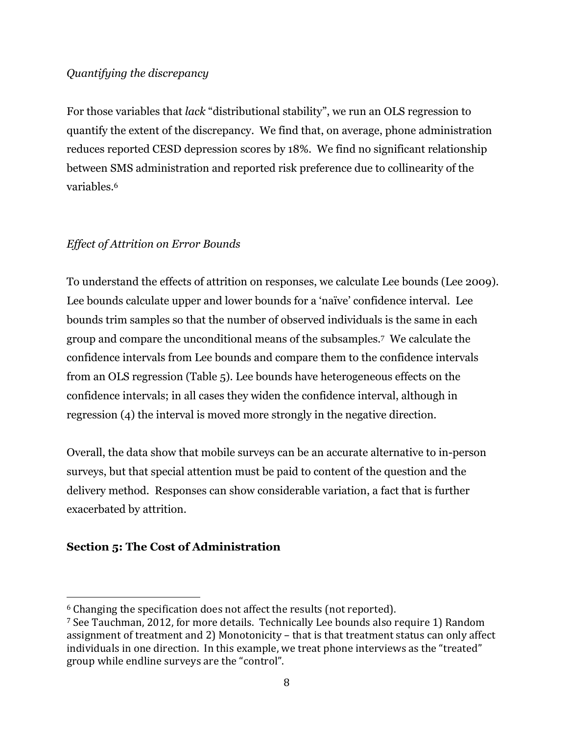### *Quantifying the discrepancy*

For those variables that *lack* "distributional stability", we run an OLS regression to quantify the extent of the discrepancy. We find that, on average, phone administration reduces reported CESD depression scores by 18%. We find no significant relationship between SMS administration and reported risk preference due to collinearity of the variables.<sup>6</sup>

### *Effect of Attrition on Error Bounds*

To understand the effects of attrition on responses, we calculate Lee bounds (Lee 2009). Lee bounds calculate upper and lower bounds for a 'naïve' confidence interval. Lee bounds trim samples so that the number of observed individuals is the same in each group and compare the unconditional means of the subsamples.7 We calculate the confidence intervals from Lee bounds and compare them to the confidence intervals from an OLS regression (Table 5). Lee bounds have heterogeneous effects on the confidence intervals; in all cases they widen the confidence interval, although in regression (4) the interval is moved more strongly in the negative direction.

Overall, the data show that mobile surveys can be an accurate alternative to in-person surveys, but that special attention must be paid to content of the question and the delivery method. Responses can show considerable variation, a fact that is further exacerbated by attrition.

### **Section 5: The Cost of Administration**

 $6$  Changing the specification does not affect the results (not reported).

<sup>&</sup>lt;sup>7</sup> See Tauchman, 2012, for more details. Technically Lee bounds also require 1) Random assignment of treatment and 2) Monotonicity – that is that treatment status can only affect individuals in one direction. In this example, we treat phone interviews as the "treated" group while endline surveys are the "control".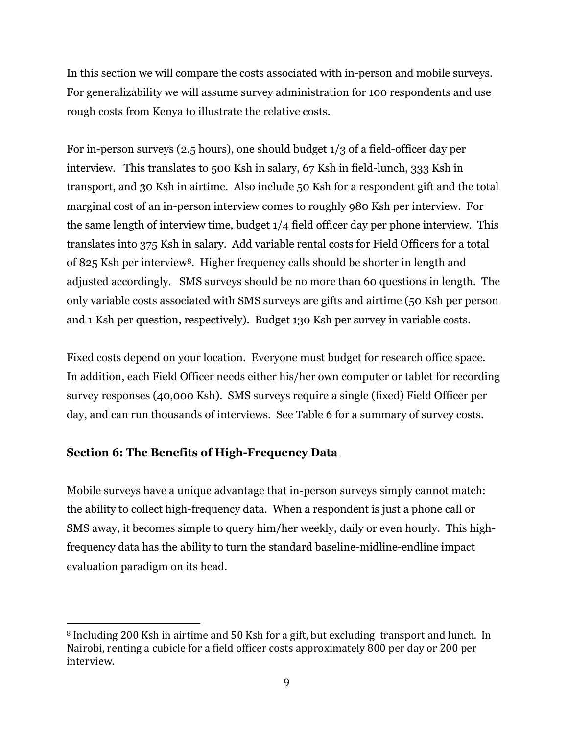In this section we will compare the costs associated with in-person and mobile surveys. For generalizability we will assume survey administration for 100 respondents and use rough costs from Kenya to illustrate the relative costs.

For in-person surveys (2.5 hours), one should budget 1/3 of a field-officer day per interview. This translates to 500 Ksh in salary, 67 Ksh in field-lunch, 333 Ksh in transport, and 30 Ksh in airtime. Also include 50 Ksh for a respondent gift and the total marginal cost of an in-person interview comes to roughly 980 Ksh per interview. For the same length of interview time, budget 1/4 field officer day per phone interview. This translates into 375 Ksh in salary. Add variable rental costs for Field Officers for a total of 825 Ksh per interview8. Higher frequency calls should be shorter in length and adjusted accordingly. SMS surveys should be no more than 60 questions in length. The only variable costs associated with SMS surveys are gifts and airtime (50 Ksh per person and 1 Ksh per question, respectively). Budget 130 Ksh per survey in variable costs.

Fixed costs depend on your location. Everyone must budget for research office space. In addition, each Field Officer needs either his/her own computer or tablet for recording survey responses (40,000 Ksh). SMS surveys require a single (fixed) Field Officer per day, and can run thousands of interviews. See Table 6 for a summary of survey costs.

### **Section 6: The Benefits of High-Frequency Data**

 

Mobile surveys have a unique advantage that in-person surveys simply cannot match: the ability to collect high-frequency data. When a respondent is just a phone call or SMS away, it becomes simple to query him/her weekly, daily or even hourly. This highfrequency data has the ability to turn the standard baseline-midline-endline impact evaluation paradigm on its head.

<sup>8</sup> Including 200 Ksh in airtime and 50 Ksh for a gift, but excluding transport and lunch. In Nairobi, renting a cubicle for a field officer costs approximately 800 per day or 200 per interview.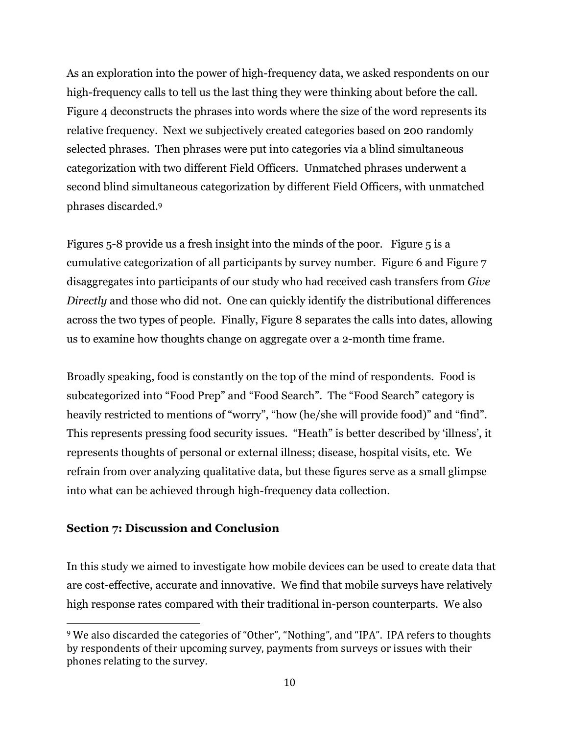As an exploration into the power of high-frequency data, we asked respondents on our high-frequency calls to tell us the last thing they were thinking about before the call. Figure 4 deconstructs the phrases into words where the size of the word represents its relative frequency. Next we subjectively created categories based on 200 randomly selected phrases. Then phrases were put into categories via a blind simultaneous categorization with two different Field Officers. Unmatched phrases underwent a second blind simultaneous categorization by different Field Officers, with unmatched phrases discarded.9

Figures 5-8 provide us a fresh insight into the minds of the poor. Figure 5 is a cumulative categorization of all participants by survey number. Figure 6 and Figure 7 disaggregates into participants of our study who had received cash transfers from *Give Directly* and those who did not. One can quickly identify the distributional differences across the two types of people. Finally, Figure 8 separates the calls into dates, allowing us to examine how thoughts change on aggregate over a 2-month time frame.

Broadly speaking, food is constantly on the top of the mind of respondents. Food is subcategorized into "Food Prep" and "Food Search". The "Food Search" category is heavily restricted to mentions of "worry", "how (he/she will provide food)" and "find". This represents pressing food security issues. "Heath" is better described by 'illness', it represents thoughts of personal or external illness; disease, hospital visits, etc. We refrain from over analyzing qualitative data, but these figures serve as a small glimpse into what can be achieved through high-frequency data collection.

### **Section 7: Discussion and Conclusion**

 

In this study we aimed to investigate how mobile devices can be used to create data that are cost-effective, accurate and innovative. We find that mobile surveys have relatively high response rates compared with their traditional in-person counterparts. We also

<sup>&</sup>lt;sup>9</sup> We also discarded the categories of "Other", "Nothing", and "IPA". IPA refers to thoughts by respondents of their upcoming survey, payments from surveys or issues with their phones relating to the survey.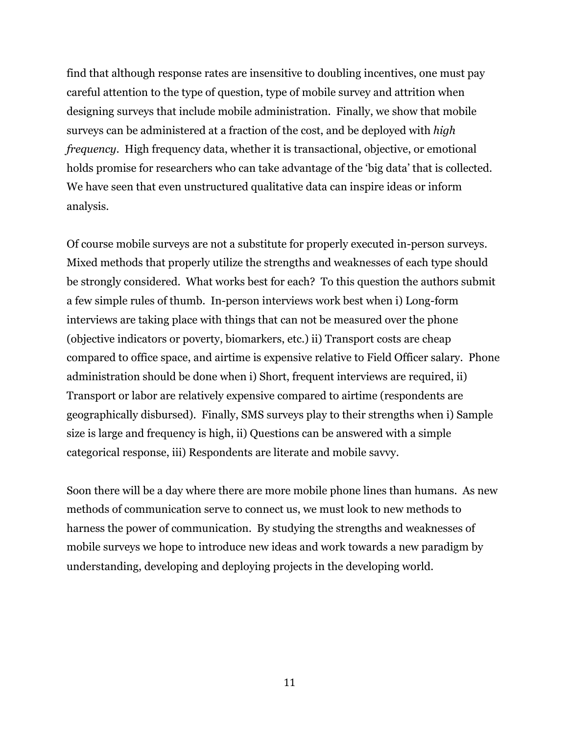find that although response rates are insensitive to doubling incentives, one must pay careful attention to the type of question, type of mobile survey and attrition when designing surveys that include mobile administration. Finally, we show that mobile surveys can be administered at a fraction of the cost, and be deployed with *high frequency*. High frequency data, whether it is transactional, objective, or emotional holds promise for researchers who can take advantage of the 'big data' that is collected. We have seen that even unstructured qualitative data can inspire ideas or inform analysis.

Of course mobile surveys are not a substitute for properly executed in-person surveys. Mixed methods that properly utilize the strengths and weaknesses of each type should be strongly considered. What works best for each? To this question the authors submit a few simple rules of thumb. In-person interviews work best when i) Long-form interviews are taking place with things that can not be measured over the phone (objective indicators or poverty, biomarkers, etc.) ii) Transport costs are cheap compared to office space, and airtime is expensive relative to Field Officer salary. Phone administration should be done when i) Short, frequent interviews are required, ii) Transport or labor are relatively expensive compared to airtime (respondents are geographically disbursed). Finally, SMS surveys play to their strengths when i) Sample size is large and frequency is high, ii) Questions can be answered with a simple categorical response, iii) Respondents are literate and mobile savvy.

Soon there will be a day where there are more mobile phone lines than humans. As new methods of communication serve to connect us, we must look to new methods to harness the power of communication. By studying the strengths and weaknesses of mobile surveys we hope to introduce new ideas and work towards a new paradigm by understanding, developing and deploying projects in the developing world.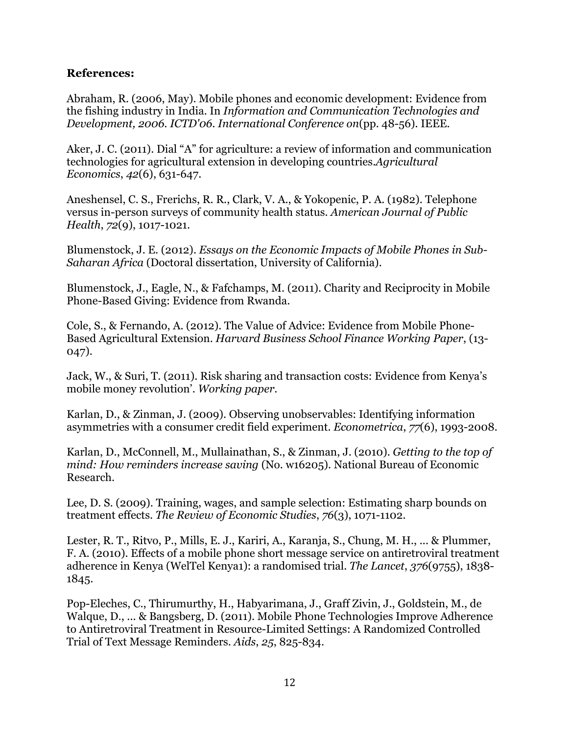### **References:**

Abraham, R. (2006, May). Mobile phones and economic development: Evidence from the fishing industry in India. In *Information and Communication Technologies and Development, 2006. ICTD'06. International Conference on*(pp. 48-56). IEEE.

Aker, J. C. (2011). Dial "A" for agriculture: a review of information and communication technologies for agricultural extension in developing countries.*Agricultural Economics*, *42*(6), 631-647.

Aneshensel, C. S., Frerichs, R. R., Clark, V. A., & Yokopenic, P. A. (1982). Telephone versus in-person surveys of community health status. *American Journal of Public Health*, *72*(9), 1017-1021.

Blumenstock, J. E. (2012). *Essays on the Economic Impacts of Mobile Phones in Sub-Saharan Africa* (Doctoral dissertation, University of California).

Blumenstock, J., Eagle, N., & Fafchamps, M. (2011). Charity and Reciprocity in Mobile Phone-Based Giving: Evidence from Rwanda.

Cole, S., & Fernando, A. (2012). The Value of Advice: Evidence from Mobile Phone-Based Agricultural Extension. *Harvard Business School Finance Working Paper*, (13- 047).

Jack, W., & Suri, T. (2011). Risk sharing and transaction costs: Evidence from Kenya's mobile money revolution'. *Working paper*.

Karlan, D., & Zinman, J. (2009). Observing unobservables: Identifying information asymmetries with a consumer credit field experiment. *Econometrica*, *77*(6), 1993-2008.

Karlan, D., McConnell, M., Mullainathan, S., & Zinman, J. (2010). *Getting to the top of mind: How reminders increase saving* (No. w16205). National Bureau of Economic Research.

Lee, D. S. (2009). Training, wages, and sample selection: Estimating sharp bounds on treatment effects. *The Review of Economic Studies*, *76*(3), 1071-1102.

Lester, R. T., Ritvo, P., Mills, E. J., Kariri, A., Karanja, S., Chung, M. H., ... & Plummer, F. A. (2010). Effects of a mobile phone short message service on antiretroviral treatment adherence in Kenya (WelTel Kenya1): a randomised trial. *The Lancet*, *376*(9755), 1838- 1845.

Pop-Eleches, C., Thirumurthy, H., Habyarimana, J., Graff Zivin, J., Goldstein, M., de Walque, D., ... & Bangsberg, D. (2011). Mobile Phone Technologies Improve Adherence to Antiretroviral Treatment in Resource-Limited Settings: A Randomized Controlled Trial of Text Message Reminders. *Aids*, *25*, 825-834.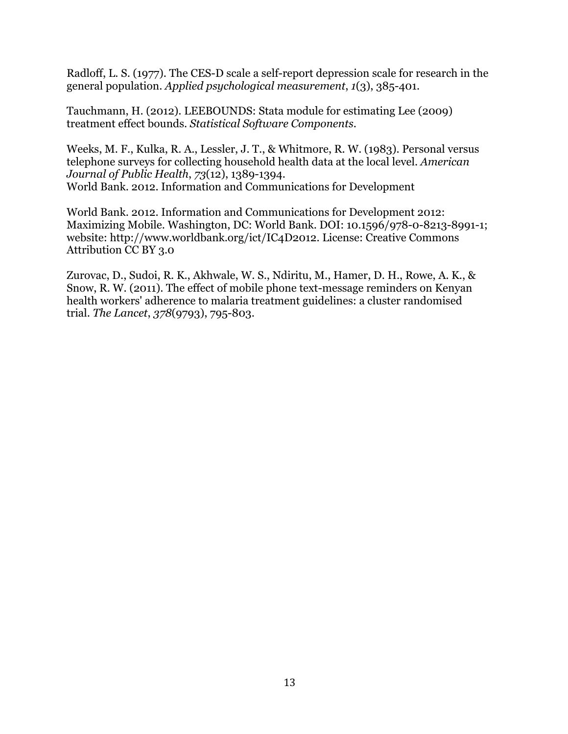Radloff, L. S. (1977). The CES-D scale a self-report depression scale for research in the general population. *Applied psychological measurement*, *1*(3), 385-401.

Tauchmann, H. (2012). LEEBOUNDS: Stata module for estimating Lee (2009) treatment effect bounds. *Statistical Software Components*.

Weeks, M. F., Kulka, R. A., Lessler, J. T., & Whitmore, R. W. (1983). Personal versus telephone surveys for collecting household health data at the local level. *American Journal of Public Health*, *73*(12), 1389-1394. World Bank. 2012. Information and Communications for Development

World Bank. 2012. Information and Communications for Development 2012: Maximizing Mobile. Washington, DC: World Bank. DOI: 10.1596/978-0-8213-8991-1; website: http://www.worldbank.org/ict/IC4D2012. License: Creative Commons Attribution CC BY 3.0

Zurovac, D., Sudoi, R. K., Akhwale, W. S., Ndiritu, M., Hamer, D. H., Rowe, A. K., & Snow, R. W. (2011). The effect of mobile phone text-message reminders on Kenyan health workers' adherence to malaria treatment guidelines: a cluster randomised trial. *The Lancet*, *378*(9793), 795-803.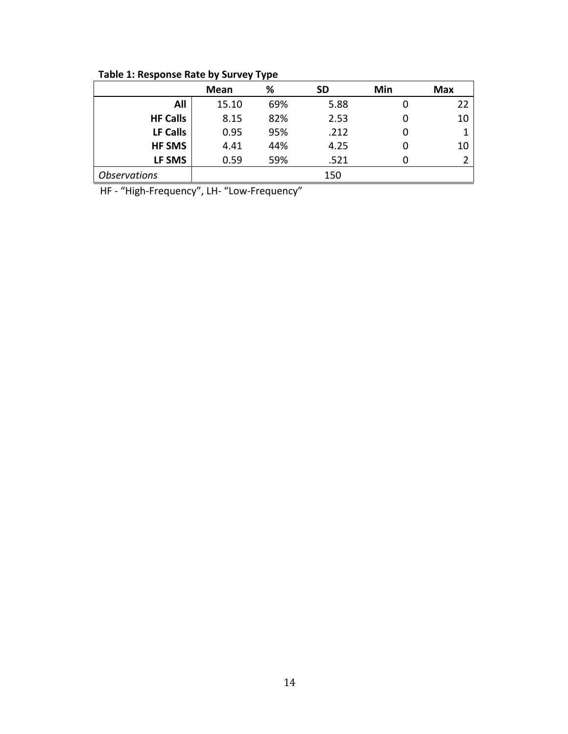**Table 1: Response Rate by Survey Type** 

|                     | Mean  | %   | <b>SD</b> | Min | <b>Max</b> |
|---------------------|-------|-----|-----------|-----|------------|
| All                 | 15.10 | 69% | 5.88      |     | 22         |
| <b>HF Calls</b>     | 8.15  | 82% | 2.53      |     | 10         |
| LF Calls            | 0.95  | 95% | .212      |     |            |
| <b>HF SMS</b>       | 4.41  | 44% | 4.25      |     | 10         |
| LF SMS              | 0.59  | 59% | .521      |     |            |
| <b>Observations</b> |       |     | 150       |     |            |

HF - "High-Frequency", LH- "Low-Frequency"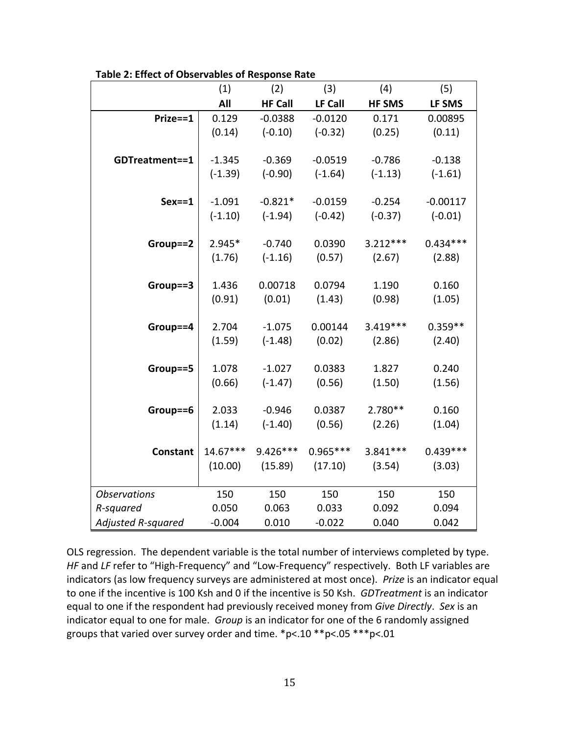|                           | (1)        | (2)            | (3)        | (4)           | (5)        |
|---------------------------|------------|----------------|------------|---------------|------------|
|                           | All        | <b>HF Call</b> | LF Call    | <b>HF SMS</b> | LF SMS     |
| Prize==1                  | 0.129      | $-0.0388$      | $-0.0120$  | 0.171         | 0.00895    |
|                           | (0.14)     | $(-0.10)$      | $(-0.32)$  | (0.25)        | (0.11)     |
|                           |            |                |            |               |            |
| GDTreatment==1            | $-1.345$   | $-0.369$       | $-0.0519$  | $-0.786$      | $-0.138$   |
|                           | $(-1.39)$  | $(-0.90)$      | $(-1.64)$  | $(-1.13)$     | $(-1.61)$  |
|                           |            |                |            |               |            |
| $Sex = 1$                 | $-1.091$   | $-0.821*$      | $-0.0159$  | $-0.254$      | $-0.00117$ |
|                           | $(-1.10)$  | $(-1.94)$      | $(-0.42)$  | $(-0.37)$     | $(-0.01)$  |
|                           |            |                |            |               |            |
| Group==2                  | 2.945*     | $-0.740$       | 0.0390     | $3.212***$    | $0.434***$ |
|                           | (1.76)     | $(-1.16)$      | (0.57)     | (2.67)        | (2.88)     |
|                           |            |                |            |               |            |
| Group==3                  | 1.436      | 0.00718        | 0.0794     | 1.190         | 0.160      |
|                           | (0.91)     | (0.01)         | (1.43)     | (0.98)        | (1.05)     |
| Group==4                  | 2.704      | $-1.075$       | 0.00144    | $3.419***$    | $0.359**$  |
|                           | (1.59)     | $(-1.48)$      | (0.02)     | (2.86)        | (2.40)     |
|                           |            |                |            |               |            |
| Group==5                  | 1.078      | $-1.027$       | 0.0383     | 1.827         | 0.240      |
|                           | (0.66)     | $(-1.47)$      | (0.56)     | (1.50)        | (1.56)     |
|                           |            |                |            |               |            |
| Group==6                  | 2.033      | $-0.946$       | 0.0387     | 2.780**       | 0.160      |
|                           | (1.14)     | $(-1.40)$      | (0.56)     | (2.26)        | (1.04)     |
|                           |            |                |            |               |            |
| <b>Constant</b>           | $14.67***$ | $9.426***$     | $0.965***$ | 3.841 ***     | $0.439***$ |
|                           | (10.00)    | (15.89)        | (17.10)    | (3.54)        | (3.03)     |
|                           |            |                |            |               |            |
| <b>Observations</b>       | 150        | 150            | 150        | 150           | 150        |
| R-squared                 | 0.050      | 0.063          | 0.033      | 0.092         | 0.094      |
| <b>Adjusted R-squared</b> | $-0.004$   | 0.010          | $-0.022$   | 0.040         | 0.042      |

**Table 2: Effect of Observables of Response Rate**

OLS regression. The dependent variable is the total number of interviews completed by type. *HF* and *LF* refer to "High-Frequency" and "Low-Frequency" respectively. Both LF variables are indicators (as low frequency surveys are administered at most once). *Prize* is an indicator equal to one if the incentive is 100 Ksh and 0 if the incentive is 50 Ksh. *GDTreatment* is an indicator equal to one if the respondent had previously received money from *Give Directly.* Sex is an indicator equal to one for male. Group is an indicator for one of the 6 randomly assigned groups that varied over survey order and time.  $*p<.10**p<.05***p<.01$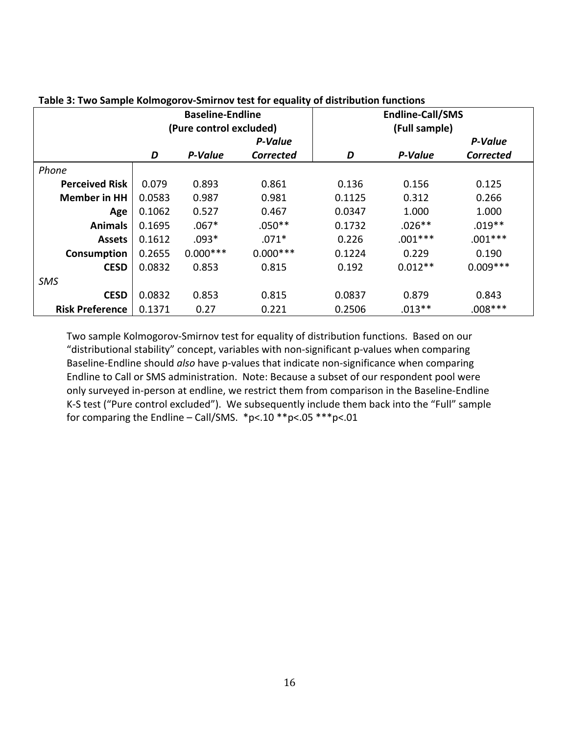|                        | <b>Baseline-Endline</b> |            |                  | <b>Endline-Call/SMS</b>          |           |                  |  |  |
|------------------------|-------------------------|------------|------------------|----------------------------------|-----------|------------------|--|--|
|                        | (Pure control excluded) |            |                  | (Full sample)                    |           |                  |  |  |
|                        |                         | P-Value    |                  |                                  | P-Value   |                  |  |  |
|                        | D                       | P-Value    | <b>Corrected</b> | D                                | P-Value   | <b>Corrected</b> |  |  |
| Phone                  |                         |            |                  |                                  |           |                  |  |  |
| <b>Perceived Risk</b>  | 0.079                   | 0.893      | 0.861            | 0.136                            | 0.156     | 0.125            |  |  |
| <b>Member in HH</b>    | 0.0583                  | 0.987      | 0.981            | 0.1125                           | 0.312     | 0.266            |  |  |
| Age                    | 0.1062                  | 0.527      | 0.467            | 0.0347                           | 1.000     | 1.000            |  |  |
| <b>Animals</b>         | 0.1695                  | $.067*$    | $.050**$         | 0.1732                           | $.026**$  | $.019**$         |  |  |
| <b>Assets</b>          | 0.1612                  | $.093*$    | $.071*$          | 0.226                            | $.001***$ | $.001***$        |  |  |
| Consumption            | 0.2655                  | $0.000***$ | $0.000***$       | 0.1224<br>0.229<br>0.190         |           |                  |  |  |
| <b>CESD</b>            | 0.0832                  | 0.853      | 0.815            | $0.009***$<br>$0.012**$<br>0.192 |           |                  |  |  |
| SMS                    |                         |            |                  |                                  |           |                  |  |  |
| <b>CESD</b>            | 0.0832                  | 0.853      | 0.815            | 0.0837                           | 0.879     | 0.843            |  |  |
| <b>Risk Preference</b> | 0.1371                  | 0.27       | 0.221            | 0.2506                           | $.013**$  | $.008***$        |  |  |

#### **Table 3: Two Sample Kolmogorov-Smirnov test for equality of distribution functions**

Two sample Kolmogorov-Smirnov test for equality of distribution functions. Based on our "distributional stability" concept, variables with non-significant p-values when comparing Baseline-Endline should *also* have p-values that indicate non-significance when comparing Endline to Call or SMS administration. Note: Because a subset of our respondent pool were only surveyed in-person at endline, we restrict them from comparison in the Baseline-Endline K-S test ("Pure control excluded"). We subsequently include them back into the "Full" sample for comparing the Endline – Call/SMS. \*p<.10 \*\*p<.05 \*\*\*p<.01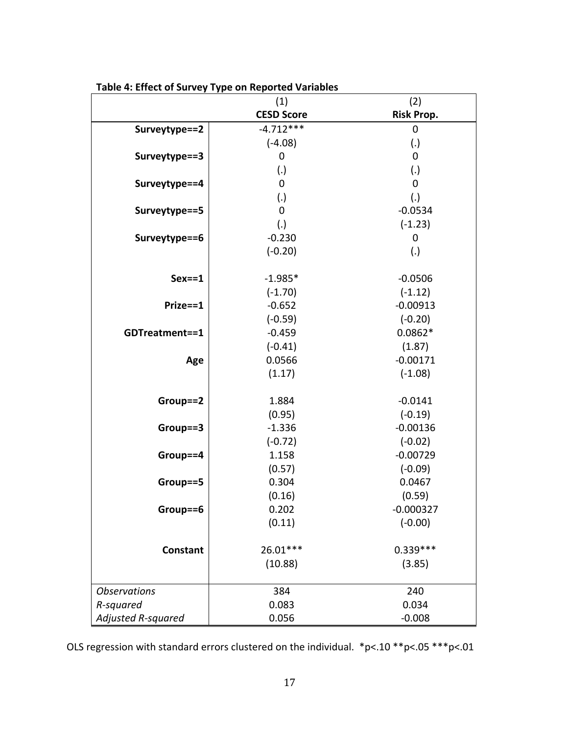|                     | (1)               | (2)               |
|---------------------|-------------------|-------------------|
|                     | <b>CESD Score</b> | <b>Risk Prop.</b> |
| Surveytype==2       | $-4.712***$       | $\mathbf 0$       |
|                     | $(-4.08)$         | (.)               |
| Surveytype==3       | $\mathbf 0$       | $\boldsymbol{0}$  |
|                     | (.)               | (.)               |
| Surveytype==4       | $\mathbf 0$       | $\mathbf 0$       |
|                     | (.)               | (.)               |
| Surveytype==5       | $\mathbf 0$       | $-0.0534$         |
|                     | (.)               | $(-1.23)$         |
| Surveytype==6       | $-0.230$          | $\boldsymbol{0}$  |
|                     | $(-0.20)$         | (.)               |
|                     |                   |                   |
| $Sex = 1$           | $-1.985*$         | $-0.0506$         |
|                     | $(-1.70)$         | $(-1.12)$         |
| Prize==1            | $-0.652$          | $-0.00913$        |
|                     | $(-0.59)$         | $(-0.20)$         |
| GDTreatment==1      | $-0.459$          | $0.0862*$         |
|                     | $(-0.41)$         | (1.87)            |
| Age                 | 0.0566            | $-0.00171$        |
|                     | (1.17)            | $(-1.08)$         |
| Group==2            | 1.884             | $-0.0141$         |
|                     | (0.95)            | $(-0.19)$         |
| Group==3            | $-1.336$          | $-0.00136$        |
|                     | $(-0.72)$         | $(-0.02)$         |
| Group==4            | 1.158             | $-0.00729$        |
|                     | (0.57)            | $(-0.09)$         |
| Group==5            | 0.304             | 0.0467            |
|                     | (0.16)            | (0.59)            |
| Group==6            | 0.202             | $-0.000327$       |
|                     | (0.11)            | $(-0.00)$         |
| <b>Constant</b>     | 26.01***          | $0.339***$        |
|                     | (10.88)           | (3.85)            |
| <b>Observations</b> | 384               | 240               |
| R-squared           | 0.083             | 0.034             |
| Adjusted R-squared  | 0.056             | $-0.008$          |

Table 4: Effect of Survey Type on Reported Variables

OLS regression with standard errors clustered on the individual.  $*p<.10**p<.05**p<.01$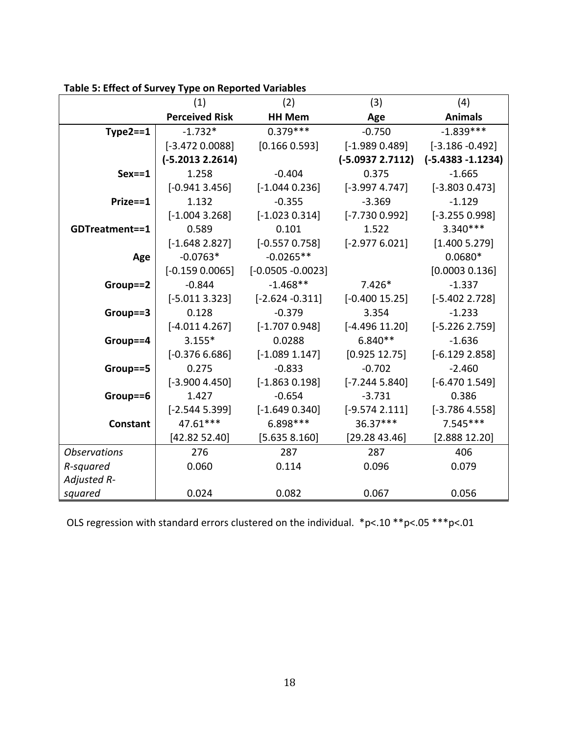|                     | (1)                   | (2)                  | (3)               | (4)                  |
|---------------------|-----------------------|----------------------|-------------------|----------------------|
|                     | <b>Perceived Risk</b> | <b>HH Mem</b>        | Age               | <b>Animals</b>       |
| $Type2 == 1$        | $-1.732*$             | $0.379***$           | $-0.750$          | $-1.839***$          |
|                     | $[-3.472 0.0088]$     | [0.166 0.593]        | $[-1.9890.489]$   | $[-3.186 - 0.492]$   |
|                     | $(-5.20132.2614)$     |                      | $(-5.09372.7112)$ | $(-5.4383 - 1.1234)$ |
| $Sex = 1$           | 1.258                 | $-0.404$             | 0.375             | $-1.665$             |
|                     | $[-0.9413.456]$       | $[-1.044 0.236]$     | $[-3.9974.747]$   | $[-3.8030.473]$      |
| Prize==1            | 1.132                 | $-0.355$             | $-3.369$          | $-1.129$             |
|                     | $[-1.0043.268]$       | $[-1.023 0.314]$     | $[-7.7300.992]$   | $[-3.255 0.998]$     |
| GDTreatment==1      | 0.589                 | 0.101                | 1.522             | $3.340***$           |
|                     | $[-1.648 2.827]$      | $[-0.557 0.758]$     | $[-2.9776.021]$   | [1.400 5.279]        |
| Age                 | $-0.0763*$            | $-0.0265**$          |                   | $0.0680*$            |
|                     | $[-0.159 0.0065]$     | $[-0.0505 - 0.0023]$ |                   | [0.0003 0.136]       |
| Group==2            | $-0.844$              | $-1.468**$           | $7.426*$          | $-1.337$             |
|                     | $[-5.0113.323]$       | $[-2.624 - 0.311]$   | $[-0.40015.25]$   | $[-5.402 2.728]$     |
| Group==3            | 0.128                 | $-0.379$             | 3.354             | $-1.233$             |
|                     | $[-4.0114.267]$       | $[-1.7070.948]$      | $[-4.496 11.20]$  | $[-5.226 2.759]$     |
| Group==4            | $3.155*$              | 0.0288               | $6.840**$         | $-1.636$             |
|                     | $[-0.3766.686]$       | $[-1.089 1.147]$     | [0.925 12.75]     | $[-6.129 2.858]$     |
| Group==5            | 0.275                 | $-0.833$             | $-0.702$          | $-2.460$             |
|                     | $[-3.9004.450]$       | $[-1.863 0.198]$     | $[-7.2445.840]$   | $[-6.470 1.549]$     |
| Group==6            | 1.427                 | $-0.654$             | $-3.731$          | 0.386                |
|                     | $[-2.5445.399]$       | $[-1.649 0.340]$     | $[-9.574 2.111]$  | $[-3.7864.558]$      |
| <b>Constant</b>     | 47.61***              | 6.898 ***            | 36.37***          | $7.545***$           |
|                     | [42.82 52.40]         | [5.635 8.160]        | [29.2843.46]      | [2.888 12.20]        |
| <b>Observations</b> | 276                   | 287                  | 287               | 406                  |
| R-squared           | 0.060                 | 0.114                | 0.096             | 0.079                |
| Adjusted R-         |                       |                      |                   |                      |
| squared             | 0.024                 | 0.082                | 0.067             | 0.056                |

**Table 5: Effect of Survey Type on Reported Variables** 

OLS regression with standard errors clustered on the individual.  $*p<.10**p<.05**p<.01$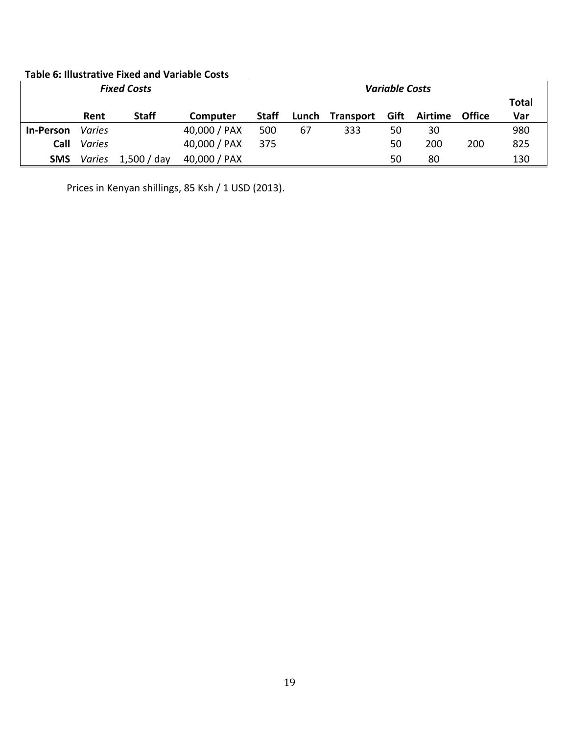### **Table 6: Illustrative Fixed and Variable Costs**

| <b>Fixed Costs</b> |        |              |              |              |       | <b>Variable Costs</b> |    |              |               |       |
|--------------------|--------|--------------|--------------|--------------|-------|-----------------------|----|--------------|---------------|-------|
|                    |        |              |              |              |       |                       |    |              |               | Total |
|                    | Rent   | <b>Staff</b> | Computer     | <b>Staff</b> | Lunch | Transport             |    | Gift Airtime | <b>Office</b> | Var   |
| <b>In-Person</b>   | Varies |              | 40,000 / PAX | 500          | 67    | 333                   | 50 | 30           |               | 980   |
| Call               | Varies |              | 40,000 / PAX | 375          |       |                       | 50 | 200          | 200           | 825   |
| <b>SMS</b>         | Varies | 1,500 / day  | 40,000 / PAX |              |       |                       | 50 | 80           |               | 130   |

Prices in Kenyan shillings, 85 Ksh / 1 USD (2013).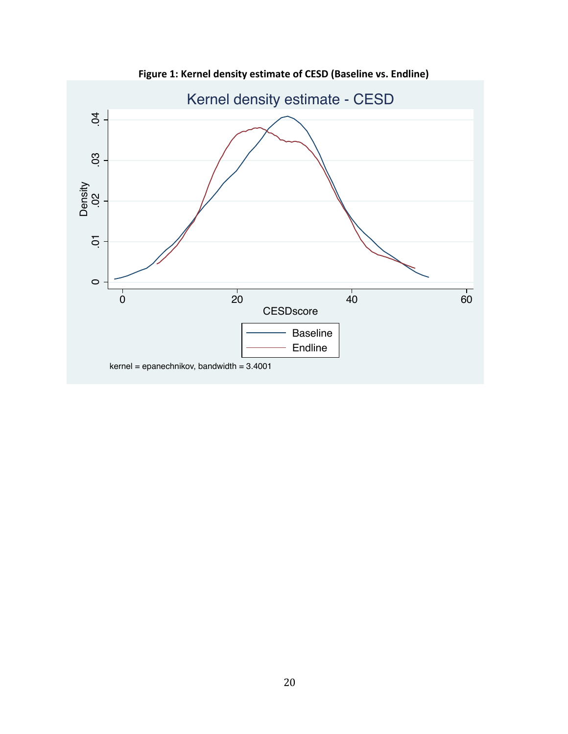

Figure 1: Kernel density estimate of CESD (Baseline vs. Endline)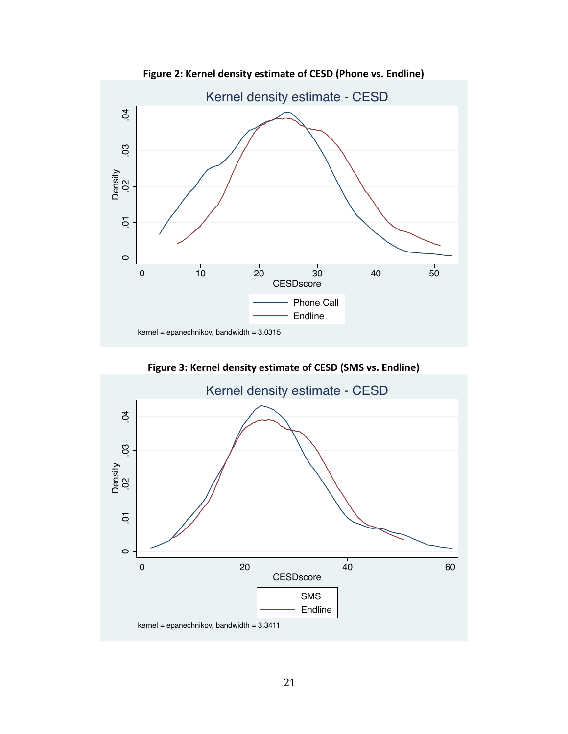

Figure 2: Kernel density estimate of CESD (Phone vs. Endline)

Figure 3: Kernel density estimate of CESD (SMS vs. Endline)

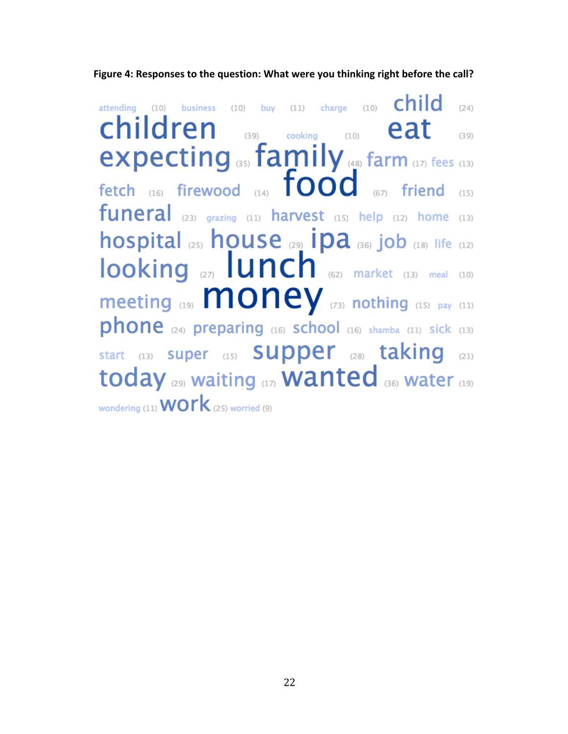child attending (10) business (10) buy (11) charge (10)  $(24)$ children  $(39)$  cooking  $(10)$ eat  $(39)$ expecting (35) family (48) farm (17) fees (13) fetch (16) firewood (14)  $\overline{food}$  (67) friend funeral (23) grazing (11) harvest (15) help (12) home (13) hospital (25) house (29) ipa (36) job (18) life (12)  $looking \nvert_{\text{27}}$   $lunch \nvert_{\text{62}}$  market (13) meal (10) meeting  $(19)$  MONEY  $(73)$  nothing  $(15)$  pay  $(11)$ phone (24) preparing (16) school (16) shamba (11) sick (13) start (13) super (15) Supper (28) taking (21) today (29) waiting (17) **Wanted** (36) water (19) wondering (11)  $WOTK$  (25) worried (9)

Figure 4: Responses to the question: What were you thinking right before the call?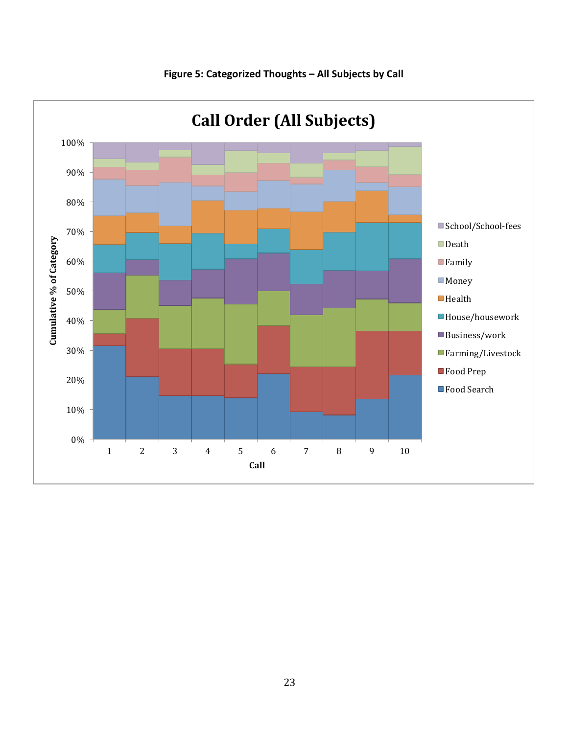

Figure 5: Categorized Thoughts - All Subjects by Call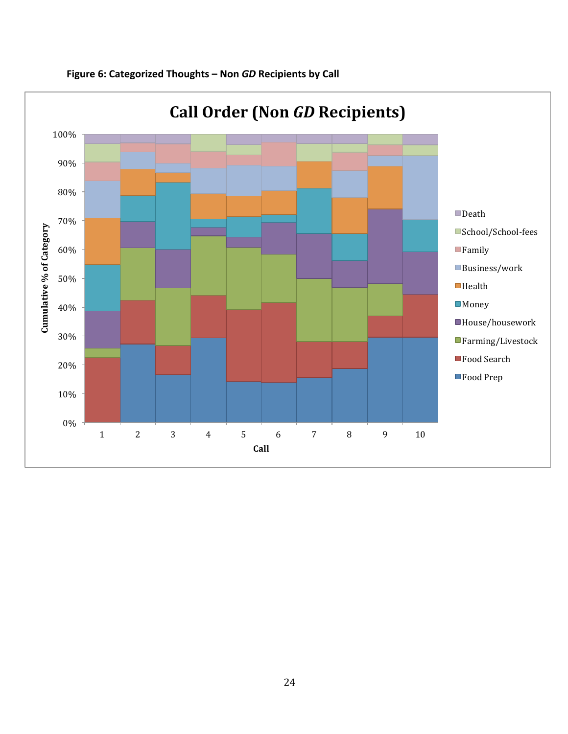

## **Figure 6: Categorized Thoughts - Non** *GD* **Recipients by Call**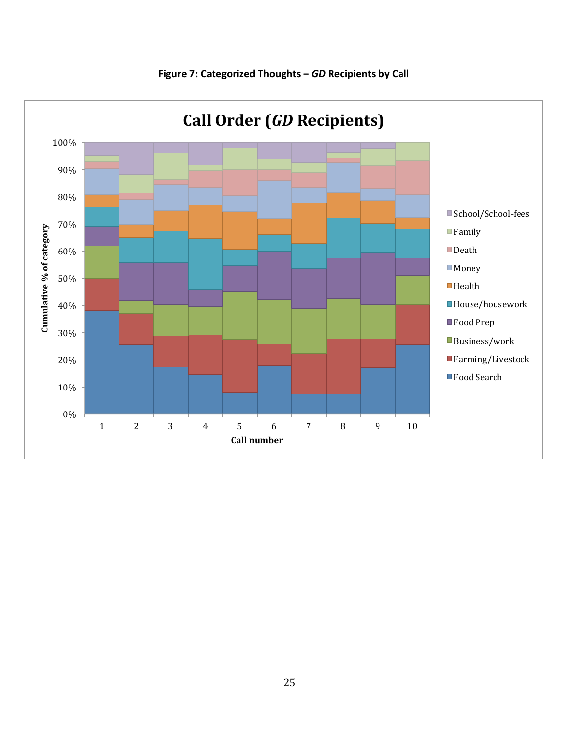

#### **Figure 7: Categorized Thoughts - GD Recipients by Call**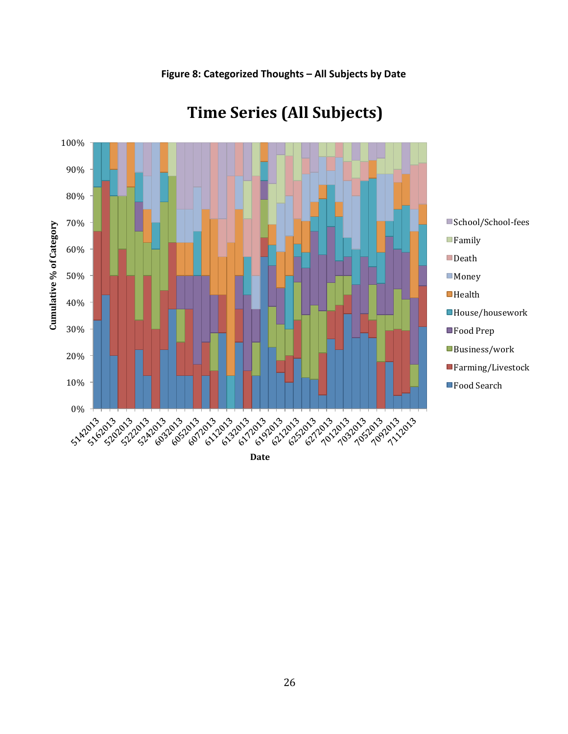

## **Time Series (All Subjects)**